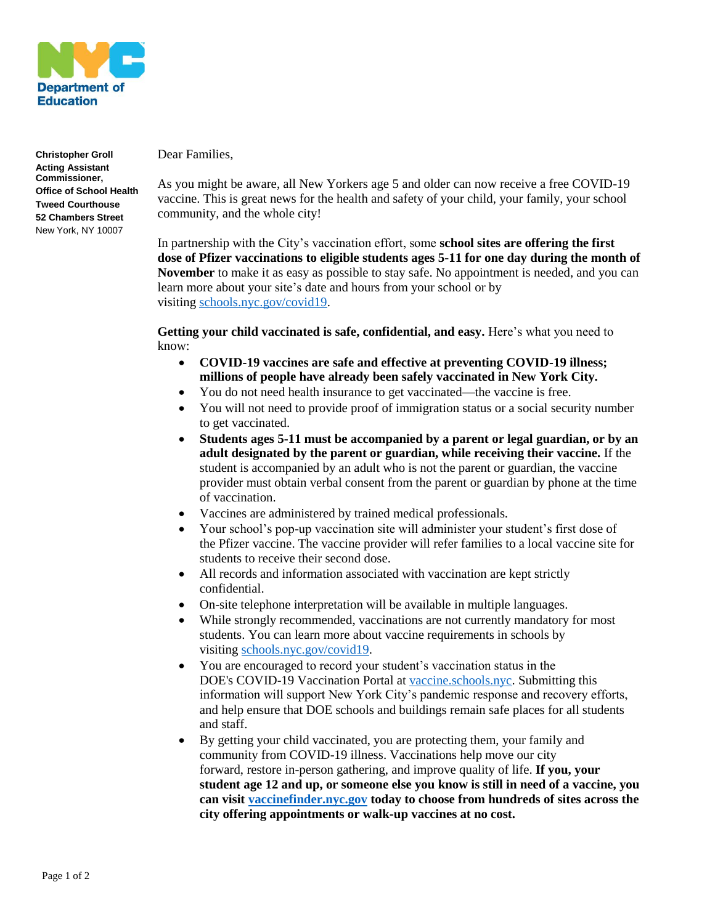

**Christopher Groll Acting Assistant Commissioner, Office of School Health Tweed Courthouse 52 Chambers Street** New York, NY 10007

Dear Families,

As you might be aware, all New Yorkers age 5 and older can now receive a free COVID-19 vaccine. This is great news for the health and safety of your child, your family, your school community, and the whole city!

In partnership with the City's vaccination effort, some **school sites are offering the first dose of Pfizer vaccinations to eligible students ages 5-11 for one day during the month of November** to make it as easy as possible to stay safe. No appointment is needed, and you can learn more about your site's date and hours from your school or by visiting [schools.nyc.gov/covid19.](https://www.schools.nyc.gov/covid19)

**Getting your child vaccinated is safe, confidential, and easy.** Here's what you need to know:

- **COVID-19 vaccines are safe and effective at preventing COVID-19 illness; millions of people have already been safely vaccinated in New York City.**
- You do not need health insurance to get vaccinated—the vaccine is free.
- You will not need to provide proof of immigration status or a social security number to get vaccinated.
- **Students ages 5-11 must be accompanied by a parent or legal guardian, or by an adult designated by the parent or guardian, while receiving their vaccine.** If the student is accompanied by an adult who is not the parent or guardian, the vaccine provider must obtain verbal consent from the parent or guardian by phone at the time of vaccination.
- Vaccines are administered by trained medical professionals.
- Your school's pop-up vaccination site will administer your student's first dose of the Pfizer vaccine. The vaccine provider will refer families to a local vaccine site for students to receive their second dose.
- All records and information associated with vaccination are kept strictly confidential.
- On-site telephone interpretation will be available in multiple languages.
- While strongly recommended, vaccinations are not currently mandatory for most students. You can learn more about vaccine requirements in schools by visiting [schools.nyc.gov/covid19.](https://www.schools.nyc.gov/covid19)
- You are encouraged to record your student's vaccination status in the DOE's COVID-19 Vaccination Portal at [vaccine.schools.nyc.](https://vaccine.schools.nyc/) Submitting this information will support New York City's pandemic response and recovery efforts, and help ensure that DOE schools and buildings remain safe places for all students and staff.
- By getting your child vaccinated, you are protecting them, your family and community from COVID-19 illness. Vaccinations help move our city forward, restore in-person gathering, and improve quality of life. **If you, your student age 12 and up, or someone else you know is still in need of a vaccine, you can visit [vaccinefinder.nyc.gov](https://vaccinefinder.nyc.gov/) today to choose from hundreds of sites across the city offering appointments or walk-up vaccines at no cost.**